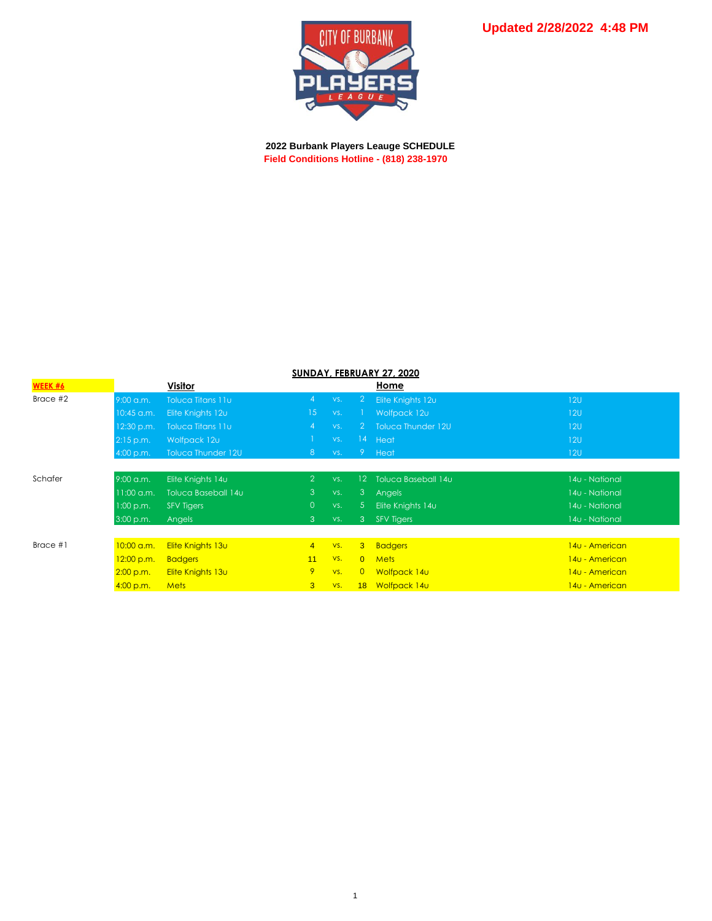

 **2022 Burbank Players Leauge SCHEDULE Field Conditions Hotline - (818) 238-1970**

| SUNDAY, FEBRUARY 27, 2020 |              |                          |                 |     |                 |                      |                |  |  |  |  |  |
|---------------------------|--------------|--------------------------|-----------------|-----|-----------------|----------------------|----------------|--|--|--|--|--|
| WEEK #6                   |              | <b>Visitor</b>           |                 |     |                 | Home                 |                |  |  |  |  |  |
| Brace #2                  | $9:00$ a.m.  | <b>Toluca Titans 11u</b> | $\overline{4}$  | VS. | $\mathbf{2}$    | Elite Knights 12u    | 12U            |  |  |  |  |  |
|                           | 10:45 a.m.   | Elite Knights 12u        | 15 <sup>°</sup> | VS. |                 | Wolfpack 12u         | 12U            |  |  |  |  |  |
|                           | $12:30$ p.m. | Toluca Titans 11u        | $\overline{4}$  | VS. |                 | 2 Toluca Thunder 12U | 12U            |  |  |  |  |  |
|                           | 2:15 p.m.    | Wolfpack 12u             |                 | VS. |                 | 14 Heat              | 120            |  |  |  |  |  |
|                           | 4:00 p.m.    | Toluca Thunder 12U       | 8 <sup>°</sup>  | VS. |                 | 9 Heat               | 120            |  |  |  |  |  |
|                           |              |                          |                 |     |                 |                      |                |  |  |  |  |  |
| Schafer                   | $9:00$ a.m.  | Elite Knights 14u        | $\overline{2}$  | VS. | 12 <sup>2</sup> | Toluca Baseball 14u  | 140 - National |  |  |  |  |  |
|                           | $11:00$ a.m. | Toluca Baseball 14u      | $\mathbf{3}$    | VS. |                 | 3 Angels             | 14u - National |  |  |  |  |  |
|                           | 1:00 p.m.    | <b>SFV Tigers</b>        | $\overline{0}$  | VS. | 5 <sup>5</sup>  | Elite Knights 14u    | 140 - National |  |  |  |  |  |
|                           | 3:00 p.m.    | Angels                   | $\overline{3}$  | VS. | 3 <sup>°</sup>  | <b>SFV Tigers</b>    | 14u - National |  |  |  |  |  |
|                           |              |                          |                 |     |                 |                      |                |  |  |  |  |  |
| Brace $#1$                | 10:00 a.m.   | Elite Knights 13u        | $\overline{4}$  | VS. |                 | 3 Badgers            | 140 - American |  |  |  |  |  |
|                           | 12:00 p.m.   | <b>Badgers</b>           | 11              | VS. |                 | 0 Mets               | 140 - American |  |  |  |  |  |
|                           | 2:00 p.m.    | Elite Knights 13u        | 9               | VS. | $\overline{0}$  | Wolfpack 14u         | 140 - American |  |  |  |  |  |
|                           | 4:00 p.m.    | <b>Mets</b>              | $\overline{3}$  | VS. |                 | 18 Wolfpack 14u      | 140 - American |  |  |  |  |  |

## **SUNDAY, FEBRUARY 27, 2020**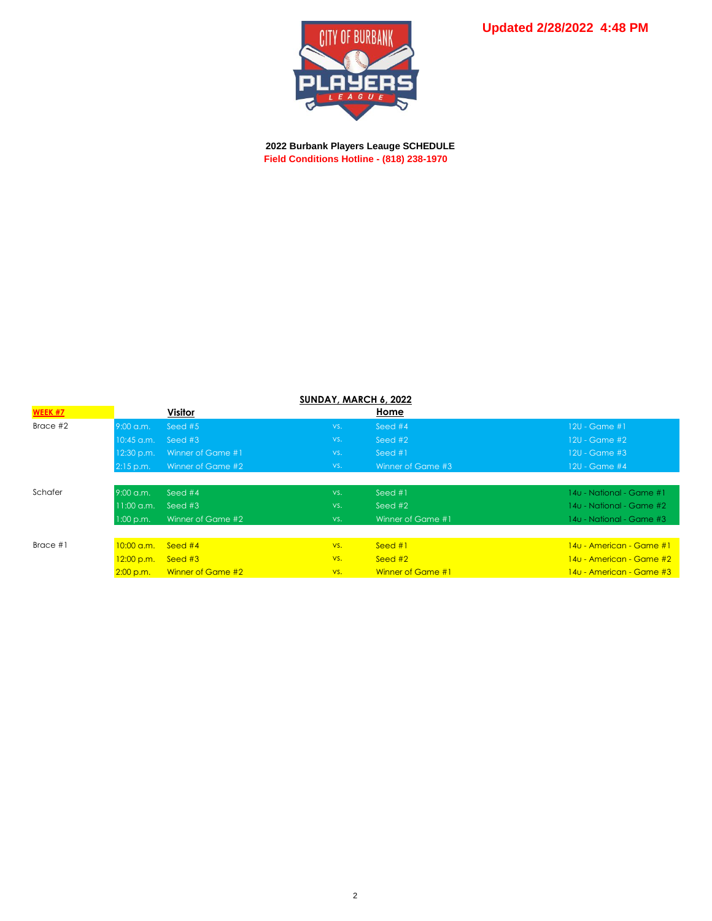

 **2022 Burbank Players Leauge SCHEDULE Field Conditions Hotline - (818) 238-1970**

OF BURBANK

CITY

□

| <b>SUNDAY, MARCH 6, 2022</b> |                      |                   |     |                      |                          |  |  |  |  |  |
|------------------------------|----------------------|-------------------|-----|----------------------|--------------------------|--|--|--|--|--|
| <b>WEEK #7</b>               |                      | Visitor           |     | Home                 |                          |  |  |  |  |  |
| Brace #2                     | $9:00$ a.m.          | Seed $#5$         | VS. | Seed #4              | 120 - Game #1,           |  |  |  |  |  |
|                              | $10:45$ a.m.         | Seed #3           | VS. | Seed $#2$            | $12U - Game$ #2          |  |  |  |  |  |
|                              | 12:30 p.m.           | Winner of Game #1 | VS. | Seed $#1$            | 12U - Game #3            |  |  |  |  |  |
|                              | $2:15$ p.m.          | Winner of Game #2 | VS. | Winner of Game #3    | $12U - Game$ #4          |  |  |  |  |  |
|                              |                      |                   |     |                      |                          |  |  |  |  |  |
| Schafer                      | $9:00$ a.m.          | Seed $#4$         | VS. | Seed $#1$            | 14u - National - Game #1 |  |  |  |  |  |
|                              | $11:00$ a.m.         | Seed $#3$         | VS. | $See\overline{d}$ #2 | 14u - National - Game #2 |  |  |  |  |  |
|                              | 1:00 p.m.            | Winner of Game #2 | VS. | Winner of Game #1    | 14u - National - Game #3 |  |  |  |  |  |
|                              |                      |                   |     |                      |                          |  |  |  |  |  |
| Brace $#1$                   | $10:00 \text{ a.m.}$ | Seed $#4$         | VS. | Seed $#1$            | 140 - American - Game #1 |  |  |  |  |  |
|                              | 12:00 p.m.           | Seed $#3$         | VS. | Seed $#2$            | 140 - American - Game #2 |  |  |  |  |  |
|                              |                      |                   |     |                      |                          |  |  |  |  |  |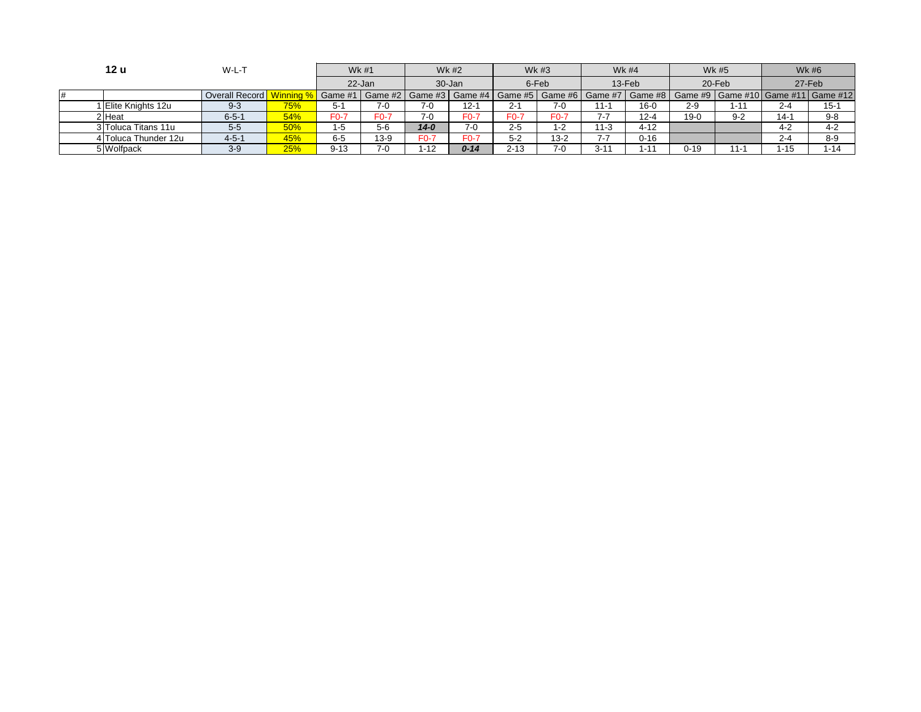| 12 u                 | W-L-T          |            | Wk #1             |        | <b>Wk #2</b> |          | Wk #3    |                                                 | <b>Wk #4</b> |          | <b>Wk #5</b> |          | <b>Wk#6</b>                |          |
|----------------------|----------------|------------|-------------------|--------|--------------|----------|----------|-------------------------------------------------|--------------|----------|--------------|----------|----------------------------|----------|
|                      |                |            | 22-Jan            |        | 30-Jan       |          | 6-Feb    |                                                 | 13-Feb       |          | 20-Feb       |          | 27-Feb                     |          |
|                      | Overall Record | nnina %    | Game #1   Game #2 |        | Game #3      |          |          | Game #4   Game #5   Game #6   Game #7   Game #8 |              |          | Game #9      |          | Game #10 Game #11 Game #12 |          |
| I Elite Knights 12u  | $9 - 3$        | <b>75%</b> | $5-1$             | 7-0    | $7-0$        | $12-1$   | $2 - 1$  | $7 - 0$                                         | $1 -$        | $16-0$   | $2 - 9$      | -11      | $2 - 4$                    | $15-1$   |
| 2 Heat               | $6 - 5 - 1$    | 54%        | $F0-7$            | F0-7   | 7-0          | F0-7     | $F0-7$   | F0-7                                            |              | $12 - 4$ | $19-0$       | $9 - 2$  | $14 - 1$                   | $9 - 8$  |
| 3 Toluca Titans 11u  | $5-5$          | 50%        | 1-5               | $5-6$  | $14 - 0$     | $7-0$    | $2 - 5$  | 1-2                                             | $1 - 3$      | $4 - 12$ |              |          | $4 - 2$                    | $4 - 2$  |
| 4 Toluca Thunder 12u | $4 - 5 - 1$    | 45%        | $6 - 5$           | $13-9$ | F0-7         | F0-7     | $5 - 2$  | $13 - 2$                                        |              | $0 - 16$ |              |          | $2 - 4$                    | $8-9$    |
| 5 Wolfpack           | $3-9$          | 25%        | $9 - 13$          | $7-0$  | $1 - 12$     | $0 - 14$ | $2 - 13$ | $7-0$                                           | $3 - 1'$     | $1 - 14$ | $0 - 19$     | $11 - 1$ | $-15$                      | $1 - 14$ |